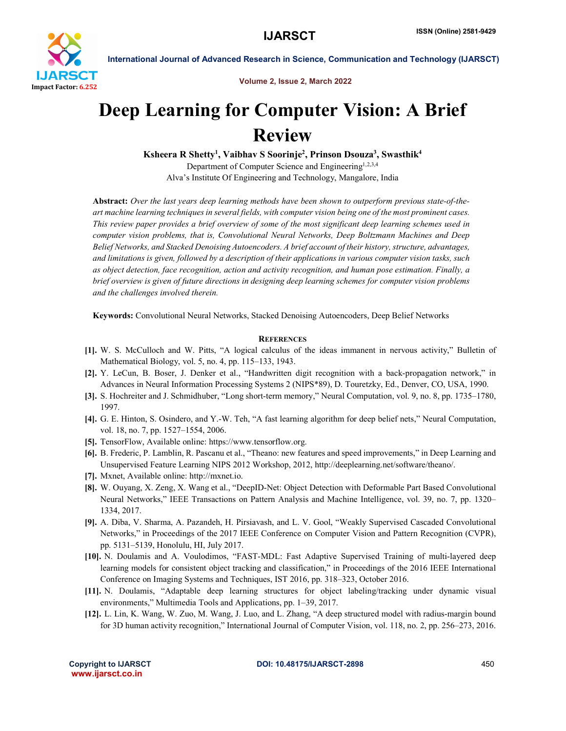

International Journal of Advanced Research in Science, Communication and Technology (IJARSCT)

Volume 2, Issue 2, March 2022

## Deep Learning for Computer Vision: A Brief Review

Ksheera R Shetty<sup>1</sup>, Vaibhav S Soorinje<sup>2</sup>, Prinson Dsouza<sup>3</sup>, Swasthik<sup>4</sup>

Department of Computer Science and Engineering<sup>1,2,3,4</sup> Alva's Institute Of Engineering and Technology, Mangalore, India

Abstract: *Over the last years deep learning methods have been shown to outperform previous state-of-theart machine learning techniques in several fields, with computer vision being one of the most prominent cases. This review paper provides a brief overview of some of the most significant deep learning schemes used in computer vision problems, that is, Convolutional Neural Networks, Deep Boltzmann Machines and Deep Belief Networks, and Stacked Denoising Autoencoders. A brief account of their history, structure, advantages, and limitations is given, followed by a description of their applications in various computer vision tasks, such as object detection, face recognition, action and activity recognition, and human pose estimation. Finally, a brief overview is given of future directions in designing deep learning schemes for computer vision problems and the challenges involved therein.*

Keywords: Convolutional Neural Networks, Stacked Denoising Autoencoders, Deep Belief Networks

## **REFERENCES**

- [1]. W. S. McCulloch and W. Pitts, "A logical calculus of the ideas immanent in nervous activity," Bulletin of Mathematical Biology, vol. 5, no. 4, pp. 115–133, 1943.
- [2]. Y. LeCun, B. Boser, J. Denker et al., "Handwritten digit recognition with a back-propagation network," in Advances in Neural Information Processing Systems 2 (NIPS\*89), D. Touretzky, Ed., Denver, CO, USA, 1990.
- [3]. S. Hochreiter and J. Schmidhuber, "Long short-term memory," Neural Computation, vol. 9, no. 8, pp. 1735–1780, 1997.
- [4]. G. E. Hinton, S. Osindero, and Y.-W. Teh, "A fast learning algorithm for deep belief nets," Neural Computation, vol. 18, no. 7, pp. 1527–1554, 2006.
- [5]. TensorFlow, Available online: https://www.tensorflow.org.
- [6]. B. Frederic, P. Lamblin, R. Pascanu et al., "Theano: new features and speed improvements," in Deep Learning and Unsupervised Feature Learning NIPS 2012 Workshop, 2012, http://deeplearning.net/software/theano/.
- [7]. Mxnet, Available online: http://mxnet.io.
- [8]. W. Ouyang, X. Zeng, X. Wang et al., "DeepID-Net: Object Detection with Deformable Part Based Convolutional Neural Networks," IEEE Transactions on Pattern Analysis and Machine Intelligence, vol. 39, no. 7, pp. 1320– 1334, 2017.
- [9]. A. Diba, V. Sharma, A. Pazandeh, H. Pirsiavash, and L. V. Gool, "Weakly Supervised Cascaded Convolutional Networks," in Proceedings of the 2017 IEEE Conference on Computer Vision and Pattern Recognition (CVPR), pp. 5131–5139, Honolulu, HI, July 2017.
- [10]. N. Doulamis and A. Voulodimos, "FAST-MDL: Fast Adaptive Supervised Training of multi-layered deep learning models for consistent object tracking and classification," in Proceedings of the 2016 IEEE International Conference on Imaging Systems and Techniques, IST 2016, pp. 318–323, October 2016.
- [11]. N. Doulamis, "Adaptable deep learning structures for object labeling/tracking under dynamic visual environments," Multimedia Tools and Applications, pp. 1–39, 2017.
- [12]. L. Lin, K. Wang, W. Zuo, M. Wang, J. Luo, and L. Zhang, "A deep structured model with radius-margin bound for 3D human activity recognition," International Journal of Computer Vision, vol. 118, no. 2, pp. 256–273, 2016.